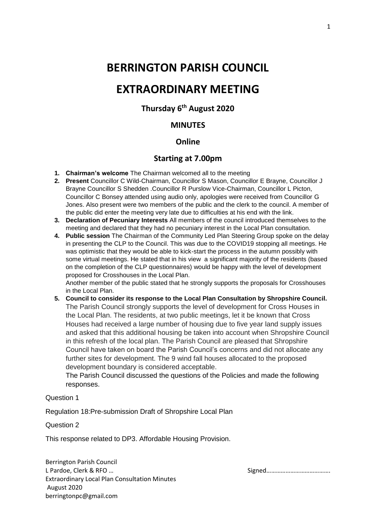## **BERRINGTON PARISH COUNCIL**

# **EXTRAORDINARY MEETING**

**Thursday 6th August 2020**

## **MINUTES**

### **Online**

## **Starting at 7.00pm**

- **1. Chairman's welcome** The Chairman welcomed all to the meeting
- **2. Present** Councillor C Wild-Chairman, Councillor S Mason, Councillor E Brayne, Councillor J Brayne Councillor S Shedden .Councillor R Purslow Vice-Chairman, Councillor L Picton, Councillor C Bonsey attended using audio only, apologies were received from Councillor G Jones. Also present were two members of the public and the clerk to the council. A member of the public did enter the meeting very late due to difficulties at his end with the link.
- **3. Declaration of Pecuniary Interests** All members of the council introduced themselves to the meeting and declared that they had no pecuniary interest in the Local Plan consultation.
- **4. Public session** The Chairman of the Community Led Plan Steering Group spoke on the delay in presenting the CLP to the Council. This was due to the COVID19 stopping all meetings. He was optimistic that they would be able to kick-start the process in the autumn possibly with some virtual meetings. He stated that in his view a significant majority of the residents (based on the completion of the CLP questionnaires) would be happy with the level of development proposed for Crosshouses in the Local Plan.

Another member of the public stated that he strongly supports the proposals for Crosshouses in the Local Plan.

**5. Council to consider its response to the Local Plan Consultation by Shropshire Council.** The Parish Council strongly supports the level of development for Cross Houses in the Local Plan. The residents, at two public meetings, let it be known that Cross Houses had received a large number of housing due to five year land supply issues and asked that this additional housing be taken into account when Shropshire Council in this refresh of the local plan. The Parish Council are pleased that Shropshire Council have taken on board the Parish Council's concerns and did not allocate any further sites for development. The 9 wind fall houses allocated to the proposed development boundary is considered acceptable.

The Parish Council discussed the questions of the Policies and made the following responses.

#### Question 1

Regulation 18:Pre-submission Draft of Shropshire Local Plan

#### Question 2

This response related to DP3. Affordable Housing Provision.

Berrington Parish Council L Pardoe, Clerk & RFO … Signed…………………………………. Extraordinary Local Plan Consultation Minutes August 2020 berringtonpc@gmail.com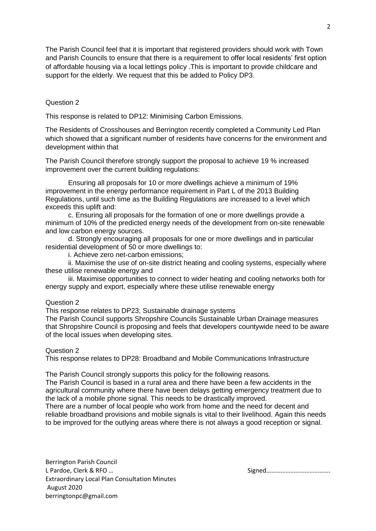The Parish Council feel that it is important that registered providers should work with Town and Parish Councils to ensure that there is a requirement to offer local residents' first option of affordable housing via a local lettings policy .This is important to provide childcare and support for the elderly. We request that this be added to Policy DP3.

#### Question 2

This response is related to DP12: Minimising Carbon Emissions.

The Residents of Crosshouses and Berrington recently completed a Community Led Plan which showed that a significant number of residents have concerns for the environment and development within that

The Parish Council therefore strongly support the proposal to achieve 19 % increased improvement over the current building regulations:

Ensuring all proposals for 10 or more dwellings achieve a minimum of 19% improvement in the energy performance requirement in Part L of the 2013 Building Regulations, until such time as the Building Regulations are increased to a level which exceeds this uplift and:

c. Ensuring all proposals for the formation of one or more dwellings provide a minimum of 10% of the predicted energy needs of the development from on-site renewable and low carbon energy sources.

d. Strongly encouraging all proposals for one or more dwellings and in particular residential development of 50 or more dwellings to:

i. Achieve zero net-carbon emissions;

ii. Maximise the use of on-site district heating and cooling systems, especially where these utilise renewable energy and

iii. Maximise opportunities to connect to wider heating and cooling networks both for energy supply and export, especially where these utilise renewable energy

#### Question 2

This response relates to DP23; Sustainable drainage systems

The Parish Council supports Shropshire Councils Sustainable Urban Drainage measures that Shropshire Council is proposing and feels that developers countywide need to be aware of the local issues when developing sites.

#### Question 2

This response relates to DP28: Broadband and Mobile Communications Infrastructure

The Parish Council strongly supports this policy for the following reasons.

The Parish Council is based in a rural area and there have been a few accidents in the agricultural community where there have been delays getting emergency treatment due to the lack of a mobile phone signal. This needs to be drastically improved.

There are a number of local people who work from home and the need for decent and reliable broadband provisions and mobile signals is vital to their livelihood. Again this needs to be improved for the outlying areas where there is not always a good reception or signal.

Berrington Parish Council L Pardoe, Clerk & RFO ... **Signed ... And All Pardoe, Clerk & RFO** ... Extraordinary Local Plan Consultation Minutes August 2020 berringtonpc@gmail.com